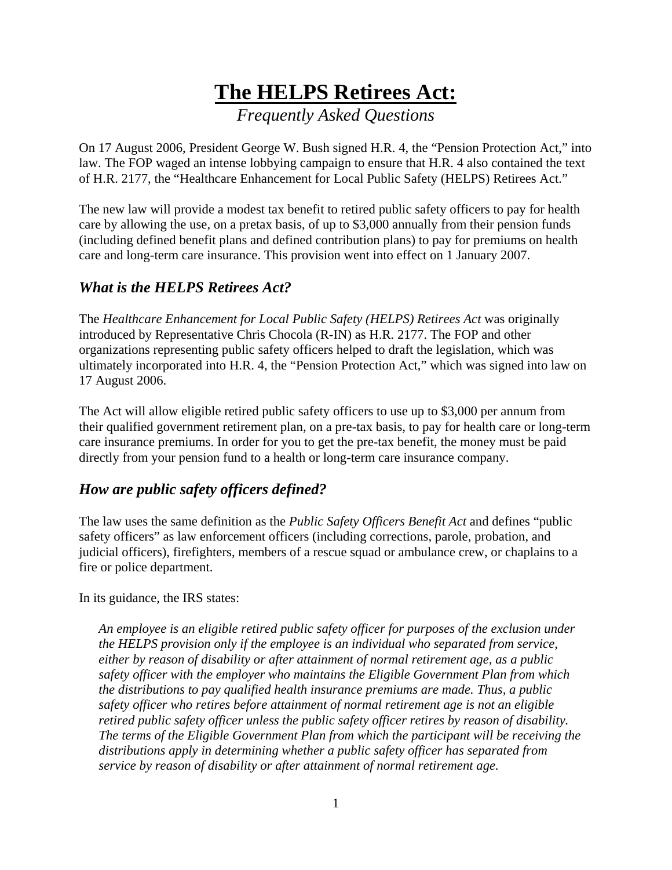# **The HELPS Retirees Act:** *Frequently Asked Questions*

On 17 August 2006, President George W. Bush signed H.R. 4, the "Pension Protection Act," into law. The FOP waged an intense lobbying campaign to ensure that H.R. 4 also contained the text of H.R. 2177, the "Healthcare Enhancement for Local Public Safety (HELPS) Retirees Act."

The new law will provide a modest tax benefit to retired public safety officers to pay for health care by allowing the use, on a pretax basis, of up to \$3,000 annually from their pension funds (including defined benefit plans and defined contribution plans) to pay for premiums on health care and long-term care insurance. This provision went into effect on 1 January 2007.

## *What is the HELPS Retirees Act?*

The *Healthcare Enhancement for Local Public Safety (HELPS) Retirees Act was originally* introduced by Representative Chris Chocola (R-IN) as H.R. 2177. The FOP and other organizations representing public safety officers helped to draft the legislation, which was ultimately incorporated into H.R. 4, the "Pension Protection Act," which was signed into law on 17 August 2006.

The Act will allow eligible retired public safety officers to use up to \$3,000 per annum from their qualified government retirement plan, on a pre-tax basis, to pay for health care or long-term care insurance premiums. In order for you to get the pre-tax benefit, the money must be paid directly from your pension fund to a health or long-term care insurance company.

## *How are public safety officers defined?*

The law uses the same definition as the *Public Safety Officers Benefit Act* and defines "public safety officers" as law enforcement officers (including corrections, parole, probation, and judicial officers), firefighters, members of a rescue squad or ambulance crew, or chaplains to a fire or police department.

In its guidance, the IRS states:

*An employee is an eligible retired public safety officer for purposes of the exclusion under the HELPS provision only if the employee is an individual who separated from service, either by reason of disability or after attainment of normal retirement age, as a public safety officer with the employer who maintains the Eligible Government Plan from which the distributions to pay qualified health insurance premiums are made. Thus, a public safety officer who retires before attainment of normal retirement age is not an eligible retired public safety officer unless the public safety officer retires by reason of disability. The terms of the Eligible Government Plan from which the participant will be receiving the distributions apply in determining whether a public safety officer has separated from service by reason of disability or after attainment of normal retirement age.*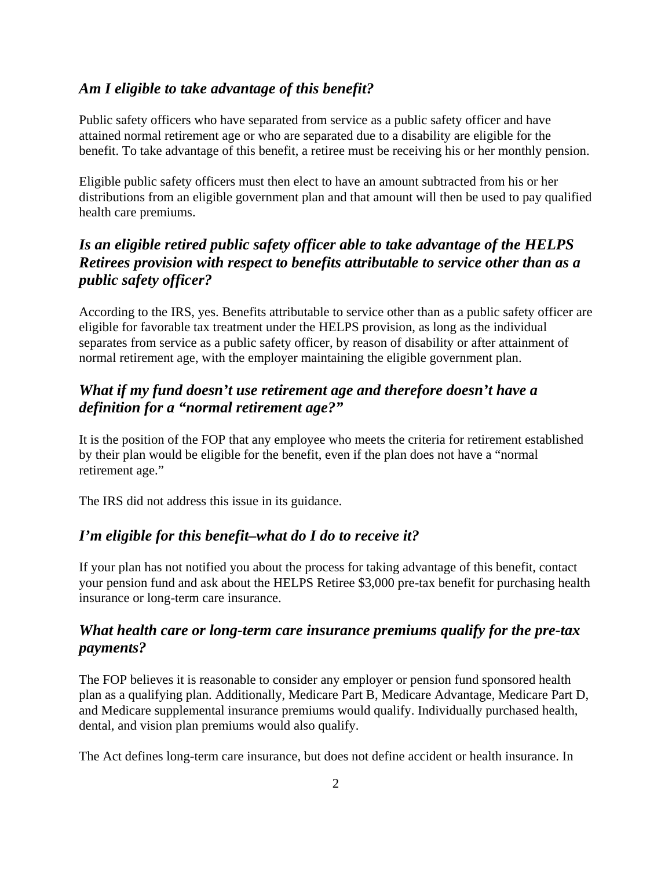#### *Am I eligible to take advantage of this benefit?*

Public safety officers who have separated from service as a public safety officer and have attained normal retirement age or who are separated due to a disability are eligible for the benefit. To take advantage of this benefit, a retiree must be receiving his or her monthly pension.

Eligible public safety officers must then elect to have an amount subtracted from his or her distributions from an eligible government plan and that amount will then be used to pay qualified health care premiums.

## *Is an eligible retired public safety officer able to take advantage of the HELPS Retirees provision with respect to benefits attributable to service other than as a public safety officer?*

According to the IRS, yes. Benefits attributable to service other than as a public safety officer are eligible for favorable tax treatment under the HELPS provision, as long as the individual separates from service as a public safety officer, by reason of disability or after attainment of normal retirement age, with the employer maintaining the eligible government plan.

#### *What if my fund doesn't use retirement age and therefore doesn't have a definition for a "normal retirement age?"*

It is the position of the FOP that any employee who meets the criteria for retirement established by their plan would be eligible for the benefit, even if the plan does not have a "normal retirement age."

The IRS did not address this issue in its guidance.

#### *I'm eligible for this benefit–what do I do to receive it?*

If your plan has not notified you about the process for taking advantage of this benefit, contact your pension fund and ask about the HELPS Retiree \$3,000 pre-tax benefit for purchasing health insurance or long-term care insurance.

#### *What health care or long-term care insurance premiums qualify for the pre-tax payments?*

The FOP believes it is reasonable to consider any employer or pension fund sponsored health plan as a qualifying plan. Additionally, Medicare Part B, Medicare Advantage, Medicare Part D, and Medicare supplemental insurance premiums would qualify. Individually purchased health, dental, and vision plan premiums would also qualify.

The Act defines long-term care insurance, but does not define accident or health insurance. In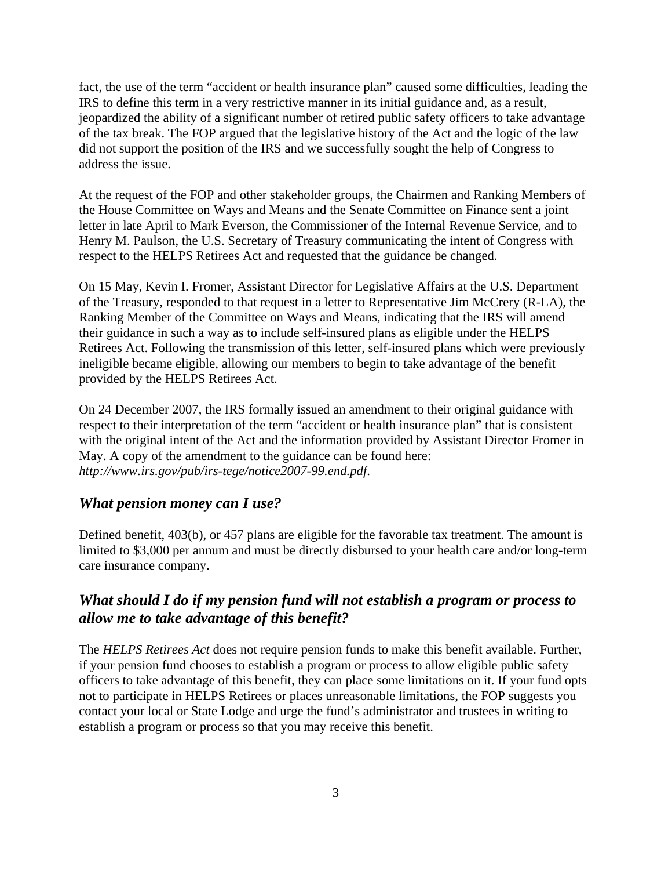fact, the use of the term "accident or health insurance plan" caused some difficulties, leading the IRS to define this term in a very restrictive manner in its initial guidance and, as a result, jeopardized the ability of a significant number of retired public safety officers to take advantage of the tax break. The FOP argued that the legislative history of the Act and the logic of the law did not support the position of the IRS and we successfully sought the help of Congress to address the issue.

At the request of the FOP and other stakeholder groups, the Chairmen and Ranking Members of the House Committee on Ways and Means and the Senate Committee on Finance sent a joint letter in late April to Mark Everson, the Commissioner of the Internal Revenue Service, and to Henry M. Paulson, the U.S. Secretary of Treasury communicating the intent of Congress with respect to the HELPS Retirees Act and requested that the guidance be changed.

On 15 May, Kevin I. Fromer, Assistant Director for Legislative Affairs at the U.S. Department of the Treasury, responded to that request in a letter to Representative Jim McCrery (R-LA), the Ranking Member of the Committee on Ways and Means, indicating that the IRS will amend their guidance in such a way as to include self-insured plans as eligible under the HELPS Retirees Act. Following the transmission of this letter, self-insured plans which were previously ineligible became eligible, allowing our members to begin to take advantage of the benefit provided by the HELPS Retirees Act.

On 24 December 2007, the IRS formally issued an amendment to their original guidance with respect to their interpretation of the term "accident or health insurance plan" that is consistent with the original intent of the Act and the information provided by Assistant Director Fromer in May. A copy of the amendment to the guidance can be found here: *http://www.irs.gov/pub/irs-tege/notice2007-99.end.pdf*.

#### *What pension money can I use?*

Defined benefit, 403(b), or 457 plans are eligible for the favorable tax treatment. The amount is limited to \$3,000 per annum and must be directly disbursed to your health care and/or long-term care insurance company.

#### *What should I do if my pension fund will not establish a program or process to allow me to take advantage of this benefit?*

The *HELPS Retirees Act* does not require pension funds to make this benefit available. Further, if your pension fund chooses to establish a program or process to allow eligible public safety officers to take advantage of this benefit, they can place some limitations on it. If your fund opts not to participate in HELPS Retirees or places unreasonable limitations, the FOP suggests you contact your local or State Lodge and urge the fund's administrator and trustees in writing to establish a program or process so that you may receive this benefit.